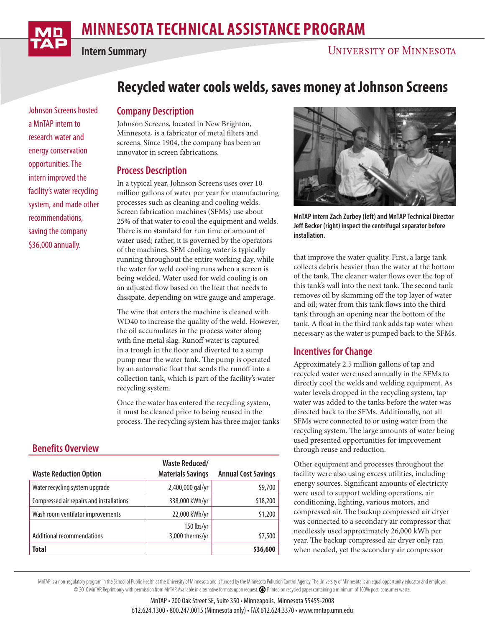

**Intern Summary**

## **UNIVERSITY OF MINNESOTA**

Johnson Screens hosted a MnTAP intern to research water and energy conservation opportunities. The intern improved the facility's water recycling system, and made other recommendations, saving the company \$36,000 annually.

# **Recycled water cools welds, saves money at Johnson Screens**

#### **Company Description**

Johnson Screens, located in New Brighton, Minnesota, is a fabricator of metal filters and screens. Since 1904, the company has been an innovator in screen fabrications.

#### **Process Description**

In a typical year, Johnson Screens uses over 10 million gallons of water per year for manufacturing processes such as cleaning and cooling welds. Screen fabrication machines (SFMs) use about 25% of that water to cool the equipment and welds. There is no standard for run time or amount of water used; rather, it is governed by the operators of the machines. SFM cooling water is typically running throughout the entire working day, while the water for weld cooling runs when a screen is being welded. Water used for weld cooling is on an adjusted flow based on the heat that needs to dissipate, depending on wire gauge and amperage.

The wire that enters the machine is cleaned with WD40 to increase the quality of the weld. However, the oil accumulates in the process water along with fine metal slag. Runoff water is captured in a trough in the floor and diverted to a sump pump near the water tank. The pump is operated by an automatic float that sends the runoff into a collection tank, which is part of the facility's water recycling system.

Once the water has entered the recycling system, it must be cleaned prior to being reused in the process. The recycling system has three major tanks

### **Benefits Overview**

|                                          | <b>Waste Reduced/</b>         |                            |
|------------------------------------------|-------------------------------|----------------------------|
| <b>Waste Reduction Option</b>            | <b>Materials Savings</b>      | <b>Annual Cost Savings</b> |
| Water recycling system upgrade           | 2,400,000 gal/yr              | \$9,700                    |
| Compressed air repairs and installations | 338,000 kWh/yr                | \$18,200                   |
| Wash room ventilator improvements        | 22,000 kWh/yr                 | \$1,200                    |
| <b>Additional recommendations</b>        | 150 lbs/yr<br>3,000 therms/yr | \$7,500                    |
| <b>Total</b>                             |                               | \$36,600                   |



**MnTAP intern Zach Zurbey (left) and MnTAP Technical Director Jeff Becker (right) inspect the centrifugal separator before installation.**

that improve the water quality. First, a large tank collects debris heavier than the water at the bottom of the tank. The cleaner water flows over the top of this tank's wall into the next tank. The second tank removes oil by skimming off the top layer of water and oil; water from this tank flows into the third tank through an opening near the bottom of the tank. A float in the third tank adds tap water when necessary as the water is pumped back to the SFMs.

### **Incentives for Change**

Approximately 2.5 million gallons of tap and recycled water were used annually in the SFMs to directly cool the welds and welding equipment. As water levels dropped in the recycling system, tap water was added to the tanks before the water was directed back to the SFMs. Additionally, not all SFMs were connected to or using water from the recycling system. The large amounts of water being used presented opportunities for improvement through reuse and reduction.

Other equipment and processes throughout the facility were also using excess utilities, including energy sources. Significant amounts of electricity were used to support welding operations, air conditioning, lighting, various motors, and compressed air. The backup compressed air dryer was connected to a secondary air compressor that needlessly used approximately 26,000 kWh per year. The backup compressed air dryer only ran when needed, yet the secondary air compressor

MnTAP is a non-regulatory program in the School of Public Health at the University of Minnesota and is funded by the Minnesota Pollution Control Agency. The University of Minnesota is an equal opportunity educator and empl © 2010 MnTAP. Reprint only with permission from MnTAP. Available in alternative formats upon request. Printed on recycled paper containing a minimum of 100% post-consumer waste.